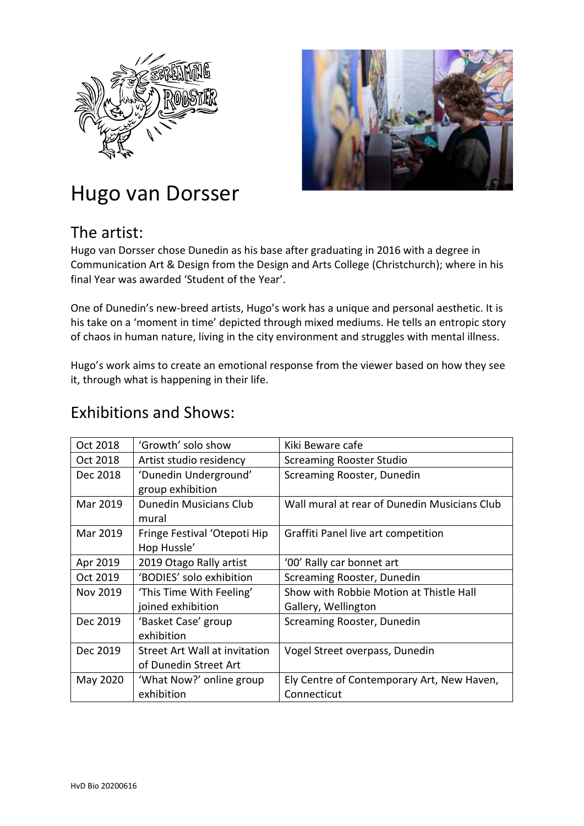



## Hugo van Dorsser

## The artist:

Hugo van Dorsser chose Dunedin as his base after graduating in 2016 with a degree in Communication Art & Design from the Design and Arts College (Christchurch); where in his final Year was awarded 'Student of the Year'.

One of Dunedin's new-breed artists, Hugo's work has a unique and personal aesthetic. It is his take on a 'moment in time' depicted through mixed mediums. He tells an entropic story of chaos in human nature, living in the city environment and struggles with mental illness.

Hugo's work aims to create an emotional response from the viewer based on how they see it, through what is happening in their life.

## Exhibitions and Shows:

| Oct 2018 | 'Growth' solo show                   | Kiki Beware cafe                             |
|----------|--------------------------------------|----------------------------------------------|
| Oct 2018 | Artist studio residency              | <b>Screaming Rooster Studio</b>              |
| Dec 2018 | 'Dunedin Underground'                | Screaming Rooster, Dunedin                   |
|          | group exhibition                     |                                              |
| Mar 2019 | <b>Dunedin Musicians Club</b>        | Wall mural at rear of Dunedin Musicians Club |
|          | mural                                |                                              |
| Mar 2019 | Fringe Festival 'Otepoti Hip         | Graffiti Panel live art competition          |
|          | Hop Hussle'                          |                                              |
| Apr 2019 | 2019 Otago Rally artist              | '00' Rally car bonnet art                    |
| Oct 2019 | 'BODIES' solo exhibition             | Screaming Rooster, Dunedin                   |
| Nov 2019 | 'This Time With Feeling'             | Show with Robbie Motion at Thistle Hall      |
|          | joined exhibition                    | Gallery, Wellington                          |
| Dec 2019 | 'Basket Case' group                  | Screaming Rooster, Dunedin                   |
|          | exhibition                           |                                              |
| Dec 2019 | <b>Street Art Wall at invitation</b> | Vogel Street overpass, Dunedin               |
|          | of Dunedin Street Art                |                                              |
| May 2020 | 'What Now?' online group             | Ely Centre of Contemporary Art, New Haven,   |
|          | exhibition                           | Connecticut                                  |